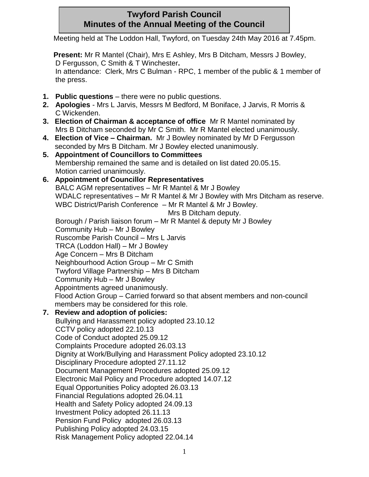## **Twyford Parish Council Minutes of the Annual Meeting of the Council**

Meeting held at The Loddon Hall, Twyford, on Tuesday 24th May 2016 at 7.45pm.

**Present:** Mr R Mantel (Chair), Mrs E Ashley, Mrs B Ditcham, Messrs J Bowley, D Fergusson, C Smith & T Winchester**.**

In attendance: Clerk, Mrs C Bulman - RPC, 1 member of the public & 1 member of the press.

- **1. Public questions** there were no public questions.
- **2. Apologies** Mrs L Jarvis, Messrs M Bedford, M Boniface, J Jarvis, R Morris & C Wickenden.
- **3. Election of Chairman & acceptance of office** Mr R Mantel nominated by Mrs B Ditcham seconded by Mr C Smith. Mr R Mantel elected unanimously.
- **4. Election of Vice – Chairman.** Mr J Bowley nominated by Mr D Fergusson seconded by Mrs B Ditcham. Mr J Bowley elected unanimously.
- **5. Appointment of Councillors to Committees**  Membership remained the same and is detailed on list dated 20.05.15. Motion carried unanimously.
- **6. Appointment of Councillor Representatives** BALC AGM representatives – Mr R Mantel & Mr J Bowley WDALC representatives – Mr R Mantel & Mr J Bowley with Mrs Ditcham as reserve. WBC District/Parish Conference – Mr R Mantel & Mr J Bowley. Mrs B Ditcham deputy.

Borough / Parish liaison forum – Mr R Mantel & deputy Mr J Bowley Community Hub – Mr J Bowley Ruscombe Parish Council – Mrs L Jarvis TRCA (Loddon Hall) – Mr J Bowley Age Concern – Mrs B Ditcham Neighbourhood Action Group – Mr C Smith Twyford Village Partnership – Mrs B Ditcham Community Hub – Mr J Bowley Appointments agreed unanimously. Flood Action Group – Carried forward so that absent members and non-council members may be considered for this role.

**7. Review and adoption of policies:**

Bullying and Harassment policy adopted 23.10.12 CCTV policy adopted 22.10.13 Code of Conduct adopted 25.09.12 Complaints Procedure adopted 26.03.13 Dignity at Work/Bullying and Harassment Policy adopted 23.10.12 Disciplinary Procedure adopted 27.11.12 Document Management Procedures adopted 25.09.12 Electronic Mail Policy and Procedure adopted 14.07.12 Equal Opportunities Policy adopted 26.03.13 Financial Regulations adopted 26.04.11 Health and Safety Policy adopted 24.09.13 Investment Policy adopted 26.11.13 Pension Fund Policy adopted 26.03.13 Publishing Policy adopted 24.03.15 Risk Management Policy adopted 22.04.14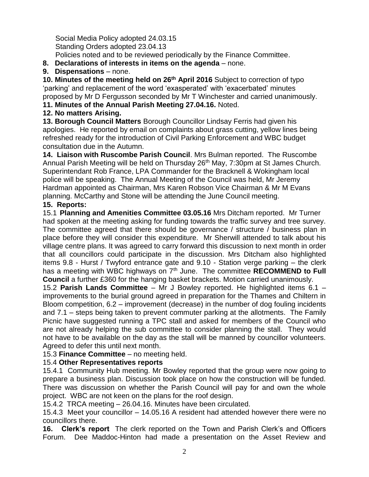Social Media Policy adopted 24.03.15 Standing Orders adopted 23.04.13 Policies noted and to be reviewed periodically by the Finance Committee.

- **8. Declarations of interests in items on the agenda** none.
- **9. Dispensations** none.

**10. Minutes of the meeting held on 26th April 2016** Subject to correction of typo 'parking' and replacement of the word 'exasperated' with 'exacerbated' minutes proposed by Mr D Fergusson seconded by Mr T Winchester and carried unanimously.

**11. Minutes of the Annual Parish Meeting 27.04.16.** Noted.

### **12. No matters Arising.**

**13. Borough Council Matters** Borough Councillor Lindsay Ferris had given his apologies. He reported by email on complaints about grass cutting, yellow lines being refreshed ready for the introduction of Civil Parking Enforcement and WBC budget consultation due in the Autumn.

**14. Liaison with Ruscombe Parish Council**. Mrs Bulman reported. The Ruscombe Annual Parish Meeting will be held on Thursday 26<sup>th</sup> May, 7:30pm at St James Church. Superintendant Rob France, LPA Commander for the Bracknell & Wokingham local police will be speaking. The Annual Meeting of the Council was held, Mr Jeremy Hardman appointed as Chairman, Mrs Karen Robson Vice Chairman & Mr M Evans planning. McCarthy and Stone will be attending the June Council meeting.

#### **15. Reports:**

15.1 **Planning and Amenities Committee 03.05.16** Mrs Ditcham reported. Mr Turner had spoken at the meeting asking for funding towards the traffic survey and tree survey. The committee agreed that there should be governance / structure / business plan in place before they will consider this expenditure. Mr Sherwill attended to talk about his village centre plans. It was agreed to carry forward this discussion to next month in order that all councillors could participate in the discussion. Mrs Ditcham also highlighted items 9.8 - Hurst / Twyford entrance gate and 9.10 - Station verge parking – the clerk has a meeting with WBC highways on 7<sup>th</sup> June. The committee **RECOMMEND to Full Council** a further £360 for the hanging basket brackets. Motion carried unanimously.

15.2 **Parish Lands Committee** – Mr J Bowley reported. He highlighted items 6.1 – improvements to the burial ground agreed in preparation for the Thames and Chiltern in Bloom competition, 6.2 – improvement (decrease) in the number of dog fouling incidents and 7.1 – steps being taken to prevent commuter parking at the allotments. The Family Picnic have suggested running a TPC stall and asked for members of the Council who are not already helping the sub committee to consider planning the stall. They would not have to be available on the day as the stall will be manned by councillor volunteers. Agreed to defer this until next month.

15.3 **Finance Committee** – no meeting held.

## 15.4 **Other Representatives reports**

15.4.1 Community Hub meeting. Mr Bowley reported that the group were now going to prepare a business plan. Discussion took place on how the construction will be funded. There was discussion on whether the Parish Council will pay for and own the whole project. WBC are not keen on the plans for the roof design.

15.4.2TRCA meeting – 26.04.16. Minutes have been circulated.

15.4.3 Meet your councillor – 14.05.16 A resident had attended however there were no councillors there.

**16. Clerk's report** The clerk reported on the Town and Parish Clerk's and Officers Forum. Dee Maddoc-Hinton had made a presentation on the Asset Review and